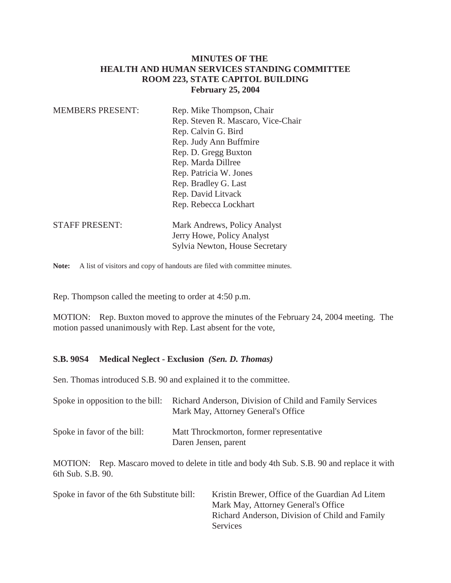# **MINUTES OF THE HEALTH AND HUMAN SERVICES STANDING COMMITTEE ROOM 223, STATE CAPITOL BUILDING February 25, 2004**

| <b>MEMBERS PRESENT:</b> | Rep. Mike Thompson, Chair<br>Rep. Steven R. Mascaro, Vice-Chair<br>Rep. Calvin G. Bird<br>Rep. Judy Ann Buffmire<br>Rep. D. Gregg Buxton<br>Rep. Marda Dillree<br>Rep. Patricia W. Jones<br>Rep. Bradley G. Last<br>Rep. David Litvack<br>Rep. Rebecca Lockhart |
|-------------------------|-----------------------------------------------------------------------------------------------------------------------------------------------------------------------------------------------------------------------------------------------------------------|
| <b>STAFF PRESENT:</b>   | Mark Andrews, Policy Analyst<br>Jerry Howe, Policy Analyst<br>Sylvia Newton, House Secretary                                                                                                                                                                    |

Note: A list of visitors and copy of handouts are filed with committee minutes.

Rep. Thompson called the meeting to order at 4:50 p.m.

MOTION: Rep. Buxton moved to approve the minutes of the February 24, 2004 meeting. The motion passed unanimously with Rep. Last absent for the vote,

#### **S.B. 90S4 Medical Neglect - Exclusion** *(Sen. D. Thomas)*

Sen. Thomas introduced S.B. 90 and explained it to the committee.

|                             | Spoke in opposition to the bill: Richard Anderson, Division of Child and Family Services<br>Mark May, Attorney General's Office |
|-----------------------------|---------------------------------------------------------------------------------------------------------------------------------|
| Spoke in favor of the bill: | Matt Throckmorton, former representative<br>Daren Jensen, parent                                                                |

MOTION: Rep. Mascaro moved to delete in title and body 4th Sub. S.B. 90 and replace it with 6th Sub. S.B. 90.

| Spoke in favor of the 6th Substitute bill: | Kristin Brewer, Office of the Guardian Ad Litem |
|--------------------------------------------|-------------------------------------------------|
|                                            | Mark May, Attorney General's Office             |
|                                            | Richard Anderson, Division of Child and Family  |
|                                            | Services                                        |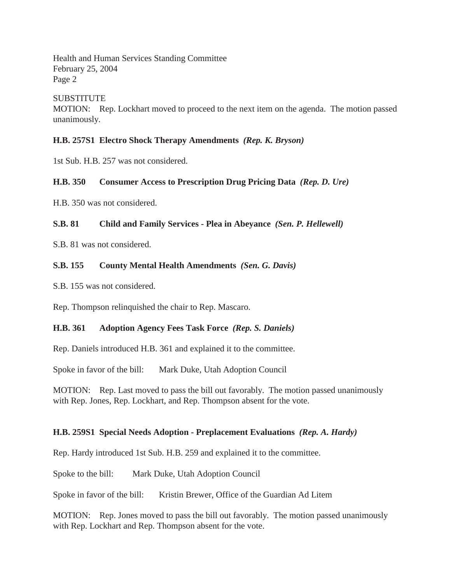Health and Human Services Standing Committee February 25, 2004 Page 2

### **SUBSTITUTE**

MOTION: Rep. Lockhart moved to proceed to the next item on the agenda. The motion passed unanimously.

#### **H.B. 257S1 Electro Shock Therapy Amendments** *(Rep. K. Bryson)*

1st Sub. H.B. 257 was not considered.

### **H.B. 350 Consumer Access to Prescription Drug Pricing Data** *(Rep. D. Ure)*

H.B. 350 was not considered.

#### **S.B. 81 Child and Family Services - Plea in Abeyance** *(Sen. P. Hellewell)*

S.B. 81 was not considered.

### **S.B. 155 County Mental Health Amendments** *(Sen. G. Davis)*

S.B. 155 was not considered.

Rep. Thompson relinquished the chair to Rep. Mascaro.

# **H.B. 361 Adoption Agency Fees Task Force** *(Rep. S. Daniels)*

Rep. Daniels introduced H.B. 361 and explained it to the committee.

Spoke in favor of the bill: Mark Duke, Utah Adoption Council

MOTION: Rep. Last moved to pass the bill out favorably. The motion passed unanimously with Rep. Jones, Rep. Lockhart, and Rep. Thompson absent for the vote.

# **H.B. 259S1 Special Needs Adoption - Preplacement Evaluations** *(Rep. A. Hardy)*

Rep. Hardy introduced 1st Sub. H.B. 259 and explained it to the committee.

Spoke to the bill: Mark Duke, Utah Adoption Council

Spoke in favor of the bill: Kristin Brewer, Office of the Guardian Ad Litem

MOTION: Rep. Jones moved to pass the bill out favorably. The motion passed unanimously with Rep. Lockhart and Rep. Thompson absent for the vote.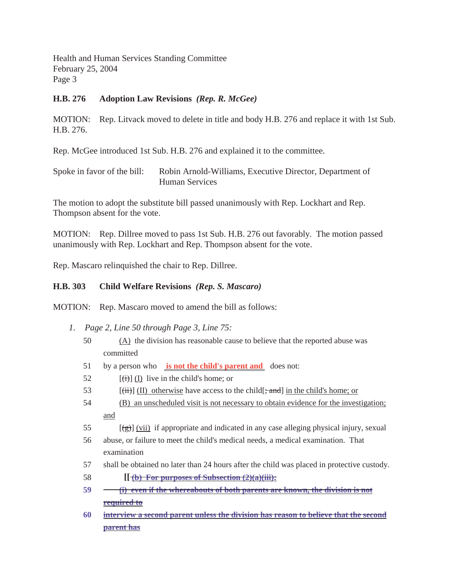Health and Human Services Standing Committee February 25, 2004 Page 3

# **H.B. 276 Adoption Law Revisions** *(Rep. R. McGee)*

MOTION: Rep. Litvack moved to delete in title and body H.B. 276 and replace it with 1st Sub. H.B. 276.

Rep. McGee introduced 1st Sub. H.B. 276 and explained it to the committee.

Spoke in favor of the bill: Robin Arnold-Williams, Executive Director, Department of Human Services

The motion to adopt the substitute bill passed unanimously with Rep. Lockhart and Rep. Thompson absent for the vote.

MOTION: Rep. Dillree moved to pass 1st Sub. H.B. 276 out favorably. The motion passed unanimously with Rep. Lockhart and Rep. Thompson absent for the vote.

Rep. Mascaro relinquished the chair to Rep. Dillree.

# **H.B. 303 Child Welfare Revisions** *(Rep. S. Mascaro)*

MOTION: Rep. Mascaro moved to amend the bill as follows:

- *1. Page 2, Line 50 through Page 3, Line 75:*
	- 50 (A) the division has reasonable cause to believe that the reported abuse was committed
	- 51 by a person who **is not the child's parent and** does not:
	- 52  $[(\overrightarrow{t})]$  (I) live in the child's home; or
	- 53  $[(iii)]$  (II) otherwise have access to the child[; and] in the child's home; or
	- 54 (B) an unscheduled visit is not necessary to obtain evidence for the investigation; and
	- 55  $[(g)]$  (vii) if appropriate and indicated in any case alleging physical injury, sexual
	- 56 abuse, or failure to meet the child's medical needs, a medical examination. That examination
	- 57 shall be obtained no later than 24 hours after the child was placed in protective custody.
	- 58 **[[ (b) For purposes of Subsection (2)(a)(iii):**
	- **59 (i) even if the whereabouts of both parents are known, the division is not required to**
	- **60 interview a second parent unless the division has reason to believe that the second parent has**